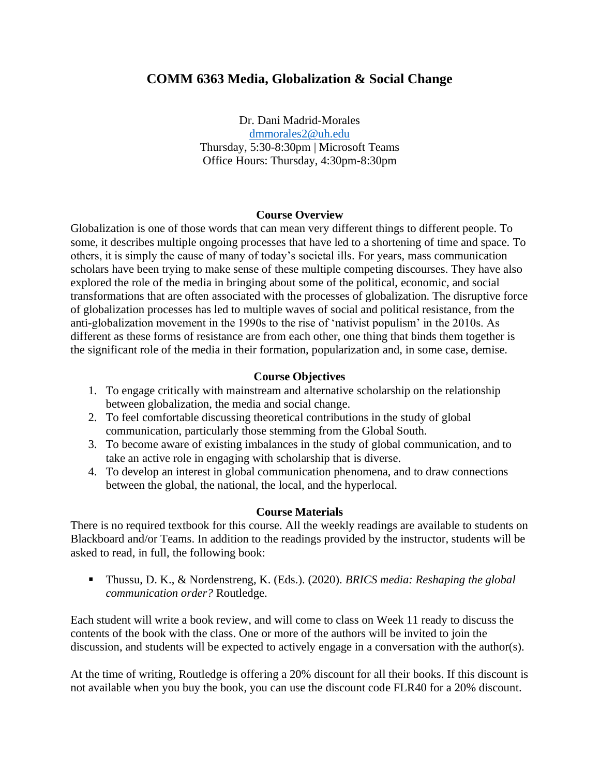# **COMM 6363 Media, Globalization & Social Change**

Dr. Dani Madrid-Morales [dmmorales2@uh.edu](mailto:dmmorales2@uh.edu) Thursday, 5:30-8:30pm | Microsoft Teams Office Hours: Thursday, 4:30pm-8:30pm

#### **Course Overview**

Globalization is one of those words that can mean very different things to different people. To some, it describes multiple ongoing processes that have led to a shortening of time and space. To others, it is simply the cause of many of today's societal ills. For years, mass communication scholars have been trying to make sense of these multiple competing discourses. They have also explored the role of the media in bringing about some of the political, economic, and social transformations that are often associated with the processes of globalization. The disruptive force of globalization processes has led to multiple waves of social and political resistance, from the anti-globalization movement in the 1990s to the rise of 'nativist populism' in the 2010s. As different as these forms of resistance are from each other, one thing that binds them together is the significant role of the media in their formation, popularization and, in some case, demise.

#### **Course Objectives**

- 1. To engage critically with mainstream and alternative scholarship on the relationship between globalization, the media and social change.
- 2. To feel comfortable discussing theoretical contributions in the study of global communication, particularly those stemming from the Global South.
- 3. To become aware of existing imbalances in the study of global communication, and to take an active role in engaging with scholarship that is diverse.
- 4. To develop an interest in global communication phenomena, and to draw connections between the global, the national, the local, and the hyperlocal.

#### **Course Materials**

There is no required textbook for this course. All the weekly readings are available to students on Blackboard and/or Teams. In addition to the readings provided by the instructor, students will be asked to read, in full, the following book:

▪ Thussu, D. K., & Nordenstreng, K. (Eds.). (2020). *BRICS media: Reshaping the global communication order?* Routledge.

Each student will write a book review, and will come to class on Week 11 ready to discuss the contents of the book with the class. One or more of the authors will be invited to join the discussion, and students will be expected to actively engage in a conversation with the author(s).

At the time of writing, Routledge is offering a 20% discount for all their books. If this discount is not available when you buy the book, you can use the discount code FLR40 for a 20% discount.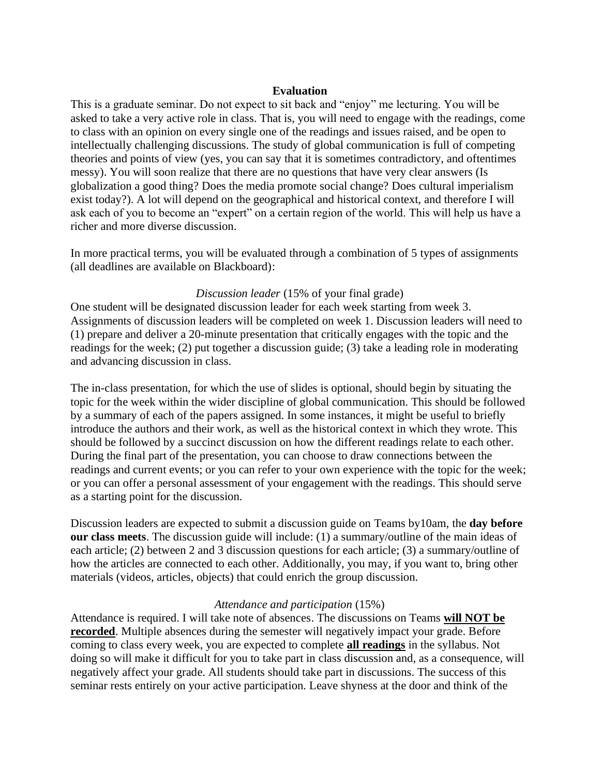#### **Evaluation**

This is a graduate seminar. Do not expect to sit back and "enjoy" me lecturing. You will be asked to take a very active role in class. That is, you will need to engage with the readings, come to class with an opinion on every single one of the readings and issues raised, and be open to intellectually challenging discussions. The study of global communication is full of competing theories and points of view (yes, you can say that it is sometimes contradictory, and oftentimes messy). You will soon realize that there are no questions that have very clear answers (Is globalization a good thing? Does the media promote social change? Does cultural imperialism exist today?). A lot will depend on the geographical and historical context, and therefore I will ask each of you to become an "expert" on a certain region of the world. This will help us have a richer and more diverse discussion.

In more practical terms, you will be evaluated through a combination of 5 types of assignments (all deadlines are available on Blackboard):

#### *Discussion leader* (15% of your final grade)

One student will be designated discussion leader for each week starting from week 3. Assignments of discussion leaders will be completed on week 1. Discussion leaders will need to (1) prepare and deliver a 20-minute presentation that critically engages with the topic and the readings for the week; (2) put together a discussion guide; (3) take a leading role in moderating and advancing discussion in class.

The in-class presentation, for which the use of slides is optional, should begin by situating the topic for the week within the wider discipline of global communication. This should be followed by a summary of each of the papers assigned. In some instances, it might be useful to briefly introduce the authors and their work, as well as the historical context in which they wrote. This should be followed by a succinct discussion on how the different readings relate to each other. During the final part of the presentation, you can choose to draw connections between the readings and current events; or you can refer to your own experience with the topic for the week; or you can offer a personal assessment of your engagement with the readings. This should serve as a starting point for the discussion.

Discussion leaders are expected to submit a discussion guide on Teams by10am, the **day before our class meets**. The discussion guide will include: (1) a summary/outline of the main ideas of each article; (2) between 2 and 3 discussion questions for each article; (3) a summary/outline of how the articles are connected to each other. Additionally, you may, if you want to, bring other materials (videos, articles, objects) that could enrich the group discussion.

#### *Attendance and participation* (15%)

Attendance is required. I will take note of absences. The discussions on Teams **will NOT be recorded**. Multiple absences during the semester will negatively impact your grade. Before coming to class every week, you are expected to complete **all readings** in the syllabus. Not doing so will make it difficult for you to take part in class discussion and, as a consequence, will negatively affect your grade. All students should take part in discussions. The success of this seminar rests entirely on your active participation. Leave shyness at the door and think of the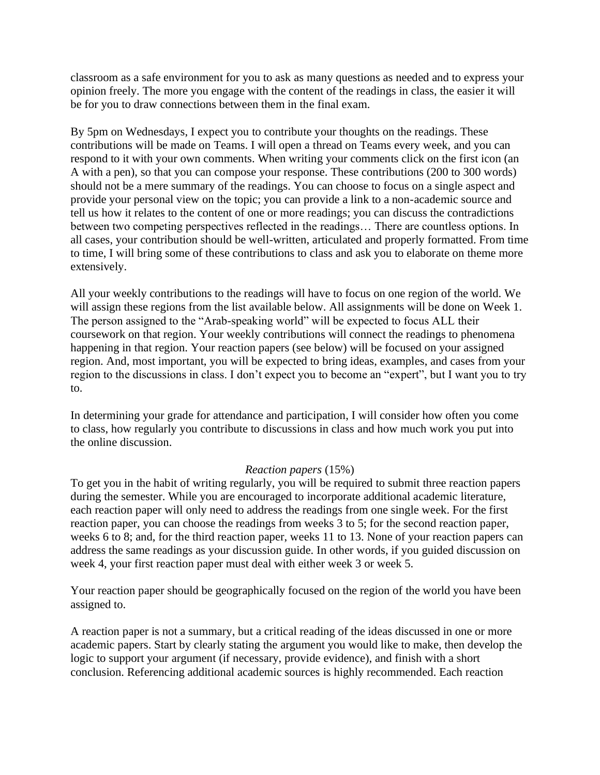classroom as a safe environment for you to ask as many questions as needed and to express your opinion freely. The more you engage with the content of the readings in class, the easier it will be for you to draw connections between them in the final exam.

By 5pm on Wednesdays, I expect you to contribute your thoughts on the readings. These contributions will be made on Teams. I will open a thread on Teams every week, and you can respond to it with your own comments. When writing your comments click on the first icon (an A with a pen), so that you can compose your response. These contributions (200 to 300 words) should not be a mere summary of the readings. You can choose to focus on a single aspect and provide your personal view on the topic; you can provide a link to a non-academic source and tell us how it relates to the content of one or more readings; you can discuss the contradictions between two competing perspectives reflected in the readings… There are countless options. In all cases, your contribution should be well-written, articulated and properly formatted. From time to time, I will bring some of these contributions to class and ask you to elaborate on theme more extensively.

All your weekly contributions to the readings will have to focus on one region of the world. We will assign these regions from the list available below. All assignments will be done on Week 1. The person assigned to the "Arab-speaking world" will be expected to focus ALL their coursework on that region. Your weekly contributions will connect the readings to phenomena happening in that region. Your reaction papers (see below) will be focused on your assigned region. And, most important, you will be expected to bring ideas, examples, and cases from your region to the discussions in class. I don't expect you to become an "expert", but I want you to try to.

In determining your grade for attendance and participation, I will consider how often you come to class, how regularly you contribute to discussions in class and how much work you put into the online discussion.

#### *Reaction papers* (15%)

To get you in the habit of writing regularly, you will be required to submit three reaction papers during the semester. While you are encouraged to incorporate additional academic literature, each reaction paper will only need to address the readings from one single week. For the first reaction paper, you can choose the readings from weeks 3 to 5; for the second reaction paper, weeks 6 to 8; and, for the third reaction paper, weeks 11 to 13. None of your reaction papers can address the same readings as your discussion guide. In other words, if you guided discussion on week 4, your first reaction paper must deal with either week 3 or week 5.

Your reaction paper should be geographically focused on the region of the world you have been assigned to.

A reaction paper is not a summary, but a critical reading of the ideas discussed in one or more academic papers. Start by clearly stating the argument you would like to make, then develop the logic to support your argument (if necessary, provide evidence), and finish with a short conclusion. Referencing additional academic sources is highly recommended. Each reaction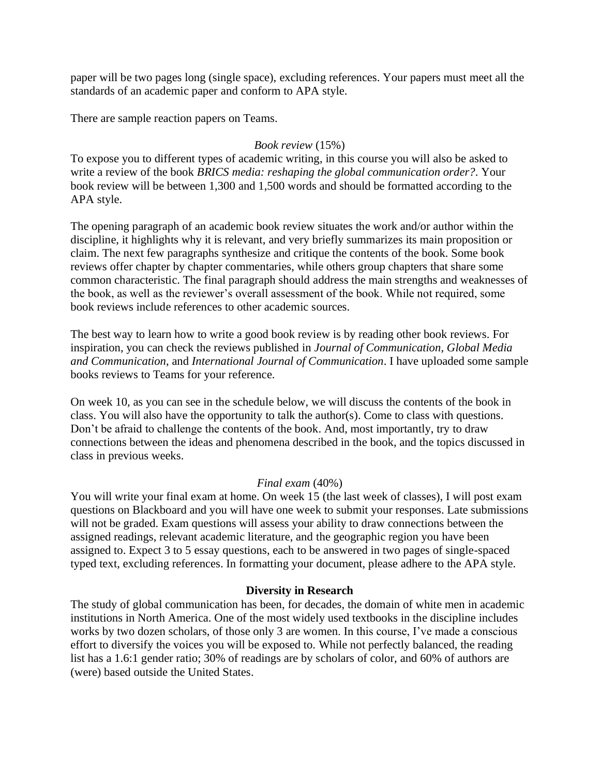paper will be two pages long (single space), excluding references. Your papers must meet all the standards of an academic paper and conform to APA style.

There are sample reaction papers on Teams.

## *Book review* (15%)

To expose you to different types of academic writing, in this course you will also be asked to write a review of the book *BRICS media: reshaping the global communication order?*. Your book review will be between 1,300 and 1,500 words and should be formatted according to the APA style.

The opening paragraph of an academic book review situates the work and/or author within the discipline, it highlights why it is relevant, and very briefly summarizes its main proposition or claim. The next few paragraphs synthesize and critique the contents of the book. Some book reviews offer chapter by chapter commentaries, while others group chapters that share some common characteristic. The final paragraph should address the main strengths and weaknesses of the book, as well as the reviewer's overall assessment of the book. While not required, some book reviews include references to other academic sources.

The best way to learn how to write a good book review is by reading other book reviews. For inspiration, you can check the reviews published in *Journal of Communication*, *Global Media and Communication*, and *International Journal of Communication*. I have uploaded some sample books reviews to Teams for your reference.

On week 10, as you can see in the schedule below, we will discuss the contents of the book in class. You will also have the opportunity to talk the author(s). Come to class with questions. Don't be afraid to challenge the contents of the book. And, most importantly, try to draw connections between the ideas and phenomena described in the book, and the topics discussed in class in previous weeks.

## *Final exam* (40%)

You will write your final exam at home. On week 15 (the last week of classes), I will post exam questions on Blackboard and you will have one week to submit your responses. Late submissions will not be graded. Exam questions will assess your ability to draw connections between the assigned readings, relevant academic literature, and the geographic region you have been assigned to. Expect 3 to 5 essay questions, each to be answered in two pages of single-spaced typed text, excluding references. In formatting your document, please adhere to the APA style.

#### **Diversity in Research**

The study of global communication has been, for decades, the domain of white men in academic institutions in North America. One of the most widely used textbooks in the discipline includes works by two dozen scholars, of those only 3 are women. In this course, I've made a conscious effort to diversify the voices you will be exposed to. While not perfectly balanced, the reading list has a 1.6:1 gender ratio; 30% of readings are by scholars of color, and 60% of authors are (were) based outside the United States.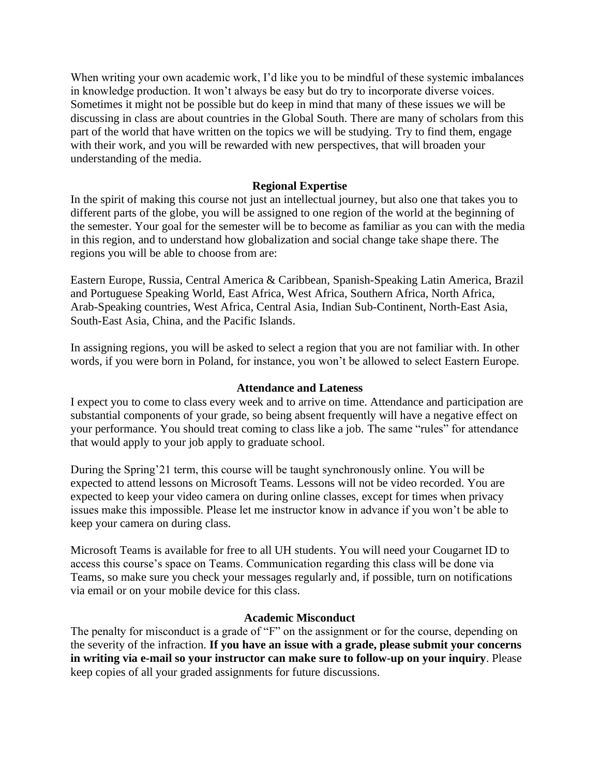When writing your own academic work, I'd like you to be mindful of these systemic imbalances in knowledge production. It won't always be easy but do try to incorporate diverse voices. Sometimes it might not be possible but do keep in mind that many of these issues we will be discussing in class are about countries in the Global South. There are many of scholars from this part of the world that have written on the topics we will be studying. Try to find them, engage with their work, and you will be rewarded with new perspectives, that will broaden your understanding of the media.

#### **Regional Expertise**

In the spirit of making this course not just an intellectual journey, but also one that takes you to different parts of the globe, you will be assigned to one region of the world at the beginning of the semester. Your goal for the semester will be to become as familiar as you can with the media in this region, and to understand how globalization and social change take shape there. The regions you will be able to choose from are:

Eastern Europe, Russia, Central America & Caribbean, Spanish-Speaking Latin America, Brazil and Portuguese Speaking World, East Africa, West Africa, Southern Africa, North Africa, Arab-Speaking countries, West Africa, Central Asia, Indian Sub-Continent, North-East Asia, South-East Asia, China, and the Pacific Islands.

In assigning regions, you will be asked to select a region that you are not familiar with. In other words, if you were born in Poland, for instance, you won't be allowed to select Eastern Europe.

#### **Attendance and Lateness**

I expect you to come to class every week and to arrive on time. Attendance and participation are substantial components of your grade, so being absent frequently will have a negative effect on your performance. You should treat coming to class like a job. The same "rules" for attendance that would apply to your job apply to graduate school.

During the Spring'21 term, this course will be taught synchronously online. You will be expected to attend lessons on Microsoft Teams. Lessons will not be video recorded. You are expected to keep your video camera on during online classes, except for times when privacy issues make this impossible. Please let me instructor know in advance if you won't be able to keep your camera on during class.

Microsoft Teams is available for free to all UH students. You will need your Cougarnet ID to access this course's space on Teams. Communication regarding this class will be done via Teams, so make sure you check your messages regularly and, if possible, turn on notifications via email or on your mobile device for this class.

#### **Academic Misconduct**

The penalty for misconduct is a grade of "F" on the assignment or for the course, depending on the severity of the infraction. **If you have an issue with a grade, please submit your concerns in writing via e-mail so your instructor can make sure to follow-up on your inquiry**. Please keep copies of all your graded assignments for future discussions.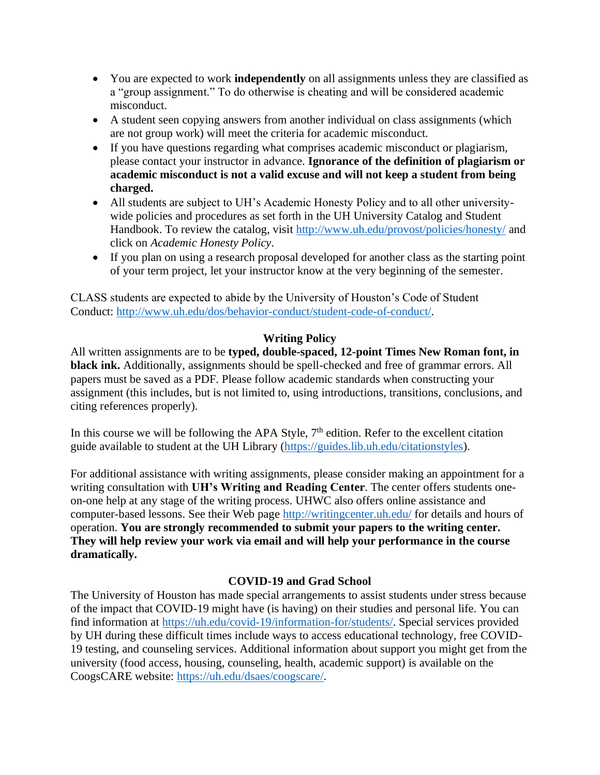- You are expected to work **independently** on all assignments unless they are classified as a "group assignment." To do otherwise is cheating and will be considered academic misconduct.
- A student seen copying answers from another individual on class assignments (which are not group work) will meet the criteria for academic misconduct.
- If you have questions regarding what comprises academic misconduct or plagiarism, please contact your instructor in advance. **Ignorance of the definition of plagiarism or academic misconduct is not a valid excuse and will not keep a student from being charged.**
- All students are subject to UH's Academic Honesty Policy and to all other universitywide policies and procedures as set forth in the UH University Catalog and Student Handbook. To review the catalog, visit<http://www.uh.edu/provost/policies/honesty/> and click on *Academic Honesty Policy*.
- If you plan on using a research proposal developed for another class as the starting point of your term project, let your instructor know at the very beginning of the semester.

CLASS students are expected to abide by the University of Houston's Code of Student Conduct: [http://www.uh.edu/dos/behavior-conduct/student-code-of-conduct/.](http://www.uh.edu/dos/behavior-conduct/student-code-of-conduct/)

#### **Writing Policy**

All written assignments are to be **typed, double-spaced, 12-point Times New Roman font, in black ink.** Additionally, assignments should be spell-checked and free of grammar errors. All papers must be saved as a PDF. Please follow academic standards when constructing your assignment (this includes, but is not limited to, using introductions, transitions, conclusions, and citing references properly).

In this course we will be following the APA Style,  $7<sup>th</sup>$  edition. Refer to the excellent citation guide available to student at the UH Library [\(https://guides.lib.uh.edu/citationstyles\)](https://guides.lib.uh.edu/citationstyles).

For additional assistance with writing assignments, please consider making an appointment for a writing consultation with **UH's Writing and Reading Center**. The center offers students oneon-one help at any stage of the writing process. UHWC also offers online assistance and computer-based lessons. See their Web page<http://writingcenter.uh.edu/> for details and hours of operation. **You are strongly recommended to submit your papers to the writing center. They will help review your work via email and will help your performance in the course dramatically.**

## **COVID-19 and Grad School**

The University of Houston has made special arrangements to assist students under stress because of the impact that COVID-19 might have (is having) on their studies and personal life. You can find information at [https://uh.edu/covid-19/information-for/students/.](https://uh.edu/covid-19/information-for/students/) Special services provided by UH during these difficult times include ways to access educational technology, free COVID-19 testing, and counseling services. Additional information about support you might get from the university (food access, housing, counseling, health, academic support) is available on the CoogsCARE website: [https://uh.edu/dsaes/coogscare/.](https://uh.edu/dsaes/coogscare/)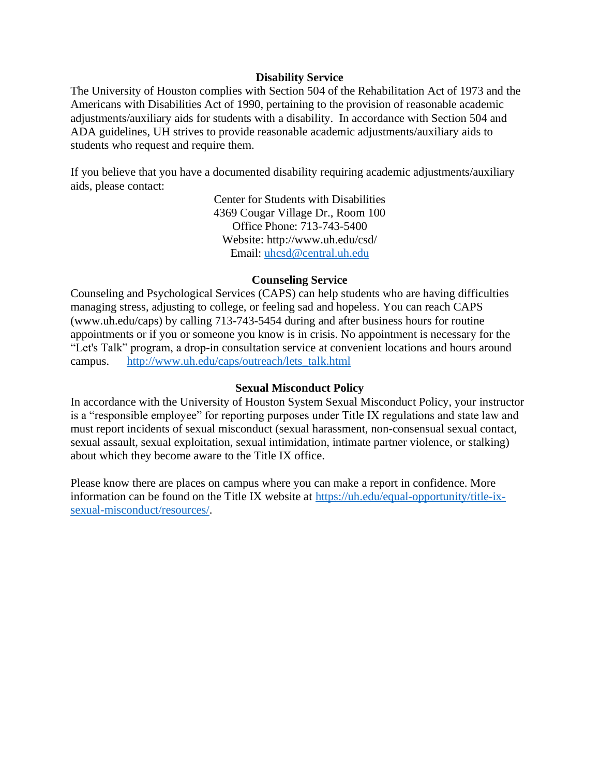#### **Disability Service**

The University of Houston complies with Section 504 of the Rehabilitation Act of 1973 and the Americans with Disabilities Act of 1990, pertaining to the provision of reasonable academic adjustments/auxiliary aids for students with a disability. In accordance with Section 504 and ADA guidelines, UH strives to provide reasonable academic adjustments/auxiliary aids to students who request and require them.

If you believe that you have a documented disability requiring academic adjustments/auxiliary aids, please contact:

> Center for Students with Disabilities 4369 Cougar Village Dr., Room 100 Office Phone: 713-743-5400 Website: http://www.uh.edu/csd/ Email: [uhcsd@central.uh.edu](mailto:uhcsd@central.uh.edu)

#### **Counseling Service**

Counseling and Psychological Services (CAPS) can help students who are having difficulties managing stress, adjusting to college, or feeling sad and hopeless. You can reach CAPS (www.uh.edu/caps) by calling 713-743-5454 during and after business hours for routine appointments or if you or someone you know is in crisis. No appointment is necessary for the "Let's Talk" program, a drop-in consultation service at convenient locations and hours around campus. [http://www.uh.edu/caps/outreach/lets\\_talk.html](http://www.uh.edu/caps/outreach/lets_talk.html)

#### **Sexual Misconduct Policy**

In accordance with the University of Houston System Sexual Misconduct Policy, your instructor is a "responsible employee" for reporting purposes under Title IX regulations and state law and must report incidents of sexual misconduct (sexual harassment, non-consensual sexual contact, sexual assault, sexual exploitation, sexual intimidation, intimate partner violence, or stalking) about which they become aware to the Title IX office.

Please know there are places on campus where you can make a report in confidence. More information can be found on the Title IX website at [https://uh.edu/equal-opportunity/title-ix](https://uh.edu/equal-opportunity/title-ix-sexual-misconduct/resources/)[sexual-misconduct/resources/.](https://uh.edu/equal-opportunity/title-ix-sexual-misconduct/resources/)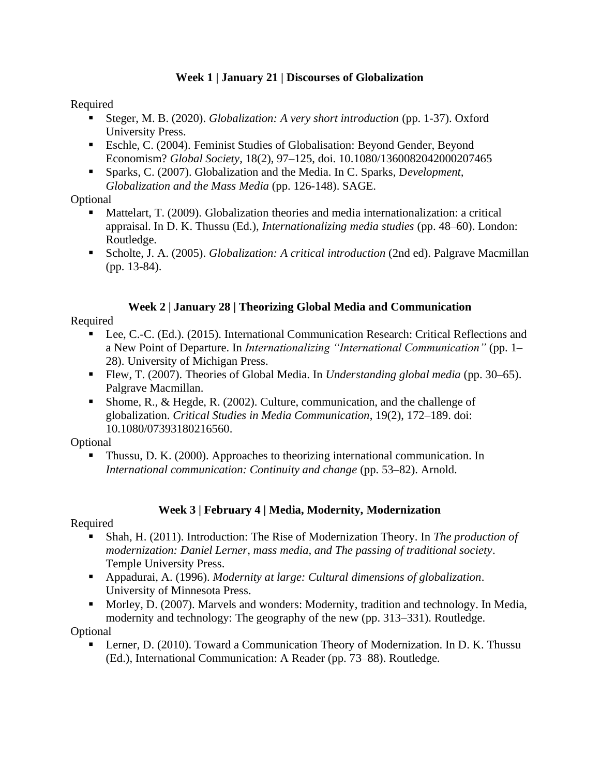## **Week 1 | January 21 | Discourses of Globalization**

Required

- Steger, M. B. (2020). *Globalization: A very short introduction* (pp. 1-37). Oxford University Press.
- Eschle, C. (2004). Feminist Studies of Globalisation: Beyond Gender, Beyond Economism? *Global Society*, 18(2), 97–125, doi. 10.1080/1360082042000207465
- Sparks, C. (2007). Globalization and the Media. In C. Sparks, Development, *Globalization and the Mass Media* (pp. 126-148). SAGE.

**Optional** 

- **•** Mattelart, T. (2009). Globalization theories and media internationalization: a critical appraisal. In D. K. Thussu (Ed.), *Internationalizing media studies* (pp. 48–60). London: Routledge.
- Scholte, J. A. (2005). *Globalization: A critical introduction* (2nd ed). Palgrave Macmillan (pp. 13-84).

# **Week 2 | January 28 | Theorizing Global Media and Communication**

Required

- Lee, C.-C. (Ed.). (2015). International Communication Research: Critical Reflections and a New Point of Departure. In *Internationalizing "International Communication"* (pp. 1– 28). University of Michigan Press.
- Flew, T. (2007). Theories of Global Media. In *Understanding global media* (pp. 30–65). Palgrave Macmillan.
- **•** Shome, R., & Hegde, R. (2002). Culture, communication, and the challenge of globalization. *Critical Studies in Media Communication*, 19(2), 172–189. doi: 10.1080/07393180216560.

**Optional** 

▪ Thussu, D. K. (2000). Approaches to theorizing international communication. In *International communication: Continuity and change* (pp. 53–82). Arnold.

# **Week 3 | February 4 | Media, Modernity, Modernization**

Required

- Shah, H. (2011). Introduction: The Rise of Modernization Theory. In *The production of modernization: Daniel Lerner, mass media, and The passing of traditional society*. Temple University Press.
- Appadurai, A. (1996). *Modernity at large: Cultural dimensions of globalization*. University of Minnesota Press.
- Morley, D. (2007). Marvels and wonders: Modernity, tradition and technology. In Media, modernity and technology: The geography of the new (pp. 313–331). Routledge.

**Optional** 

■ Lerner, D. (2010). Toward a Communication Theory of Modernization. In D. K. Thussu (Ed.), International Communication: A Reader (pp. 73–88). Routledge.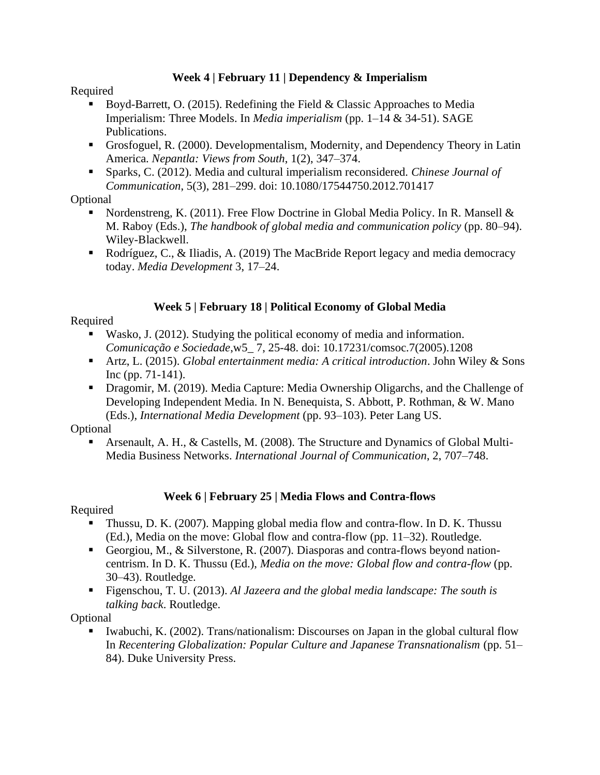## **Week 4 | February 11 | Dependency & Imperialism**

## Required

- **•** Boyd-Barrett, O. (2015). Redefining the Field & Classic Approaches to Media Imperialism: Three Models. In *Media imperialism* (pp. 1–14 & 34-51). SAGE Publications.
- Grosfoguel, R. (2000). Developmentalism, Modernity, and Dependency Theory in Latin America. *Nepantla: Views from South*, 1(2), 347–374.
- Sparks, C. (2012). Media and cultural imperialism reconsidered. *Chinese Journal of Communication*, 5(3), 281–299. doi: 10.1080/17544750.2012.701417

# Optional

- **•** Nordenstreng, K. (2011). Free Flow Doctrine in Global Media Policy. In R. Mansell  $\&$ M. Raboy (Eds.), *The handbook of global media and communication policy* (pp. 80–94). Wiley-Blackwell.
- Rodríguez, C., & Iliadis, A. (2019) The MacBride Report legacy and media democracy today. *Media Development* 3, 17–24.

# **Week 5 | February 18 | Political Economy of Global Media**

# Required

- Wasko, J. (2012). Studying the political economy of media and information. *Comunicação e Sociedade*,w5\_ 7, 25-48. doi: 10.17231/comsoc.7(2005).1208
- Artz, L. (2015). *Global entertainment media: A critical introduction*. John Wiley & Sons Inc (pp. 71-141).
- Dragomir, M. (2019). Media Capture: Media Ownership Oligarchs, and the Challenge of Developing Independent Media. In N. Benequista, S. Abbott, P. Rothman, & W. Mano (Eds.), *International Media Development* (pp. 93–103). Peter Lang US.

## **Optional**

Arsenault, A. H., & Castells, M. (2008). The Structure and Dynamics of Global Multi-Media Business Networks. *International Journal of Communication*, 2, 707–748.

# **Week 6 | February 25 | Media Flows and Contra-flows**

# Required

- Thussu, D. K. (2007). Mapping global media flow and contra-flow. In D. K. Thussu (Ed.), Media on the move: Global flow and contra-flow (pp. 11–32). Routledge.
- Georgiou, M., & Silverstone, R. (2007). Diasporas and contra-flows beyond nationcentrism. In D. K. Thussu (Ed.), *Media on the move: Global flow and contra-flow* (pp. 30–43). Routledge.
- Figenschou, T. U. (2013). *Al Jazeera and the global media landscape: The south is talking back*. Routledge.

# **Optional**

Iwabuchi, K. (2002). Trans/nationalism: Discourses on Japan in the global cultural flow In *Recentering Globalization: Popular Culture and Japanese Transnationalism* (pp. 51– 84). Duke University Press.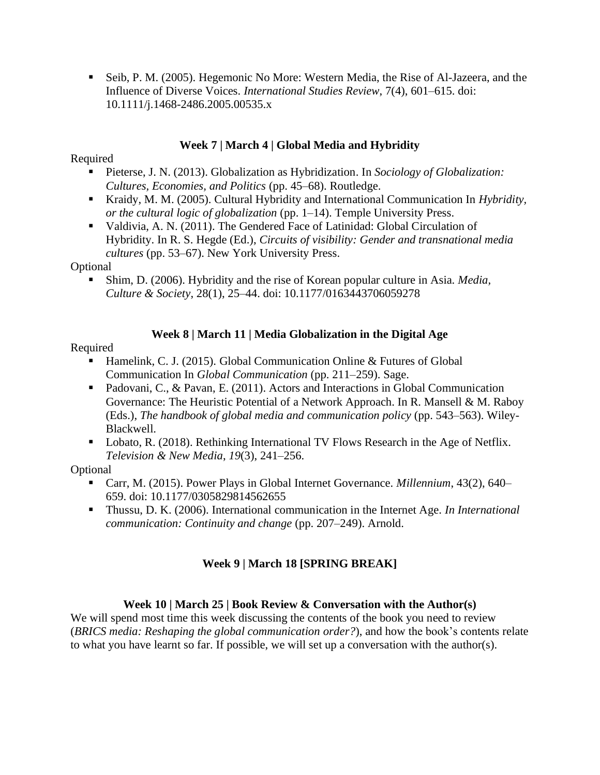**E** Seib, P. M. (2005). Hegemonic No More: Western Media, the Rise of Al-Jazeera, and the Influence of Diverse Voices. *International Studies Review*, 7(4), 601–615. doi: 10.1111/j.1468-2486.2005.00535.x

## **Week 7 | March 4 | Global Media and Hybridity**

## Required

- Pieterse, J. N. (2013). Globalization as Hybridization. In *Sociology of Globalization*: *Cultures, Economies, and Politics* (pp. 45–68). Routledge.
- Kraidy, M. M. (2005). Cultural Hybridity and International Communication In *Hybridity*, *or the cultural logic of globalization* (pp. 1–14). Temple University Press.
- Valdivia, A. N. (2011). The Gendered Face of Latinidad: Global Circulation of Hybridity. In R. S. Hegde (Ed.), *Circuits of visibility: Gender and transnational media cultures* (pp. 53–67). New York University Press.

#### **Optional**

■ Shim, D. (2006). Hybridity and the rise of Korean popular culture in Asia. *Media*, *Culture & Society*, 28(1), 25–44. doi: 10.1177/0163443706059278

## **Week 8 | March 11 | Media Globalization in the Digital Age**

#### Required

- **Hamelink, C. J. (2015). Global Communication Online & Futures of Global** Communication In *Global Communication* (pp. 211–259). Sage.
- Padovani, C., & Pavan, E. (2011). Actors and Interactions in Global Communication Governance: The Heuristic Potential of a Network Approach. In R. Mansell & M. Raboy (Eds.), *The handbook of global media and communication policy* (pp. 543–563). Wiley-Blackwell.
- Lobato, R. (2018). Rethinking International TV Flows Research in the Age of Netflix. *Television & New Media*, *19*(3), 241–256.

#### Optional

- Carr, M. (2015). Power Plays in Global Internet Governance. *Millennium*, 43(2), 640– 659. doi: 10.1177/0305829814562655
- Thussu, D. K. (2006). International communication in the Internet Age. *In International communication: Continuity and change* (pp. 207–249). Arnold.

# **Week 9 | March 18 [SPRING BREAK]**

## **Week 10 | March 25 | Book Review & Conversation with the Author(s)**

We will spend most time this week discussing the contents of the book you need to review (*BRICS media: Reshaping the global communication order?*), and how the book's contents relate to what you have learnt so far. If possible, we will set up a conversation with the author(s).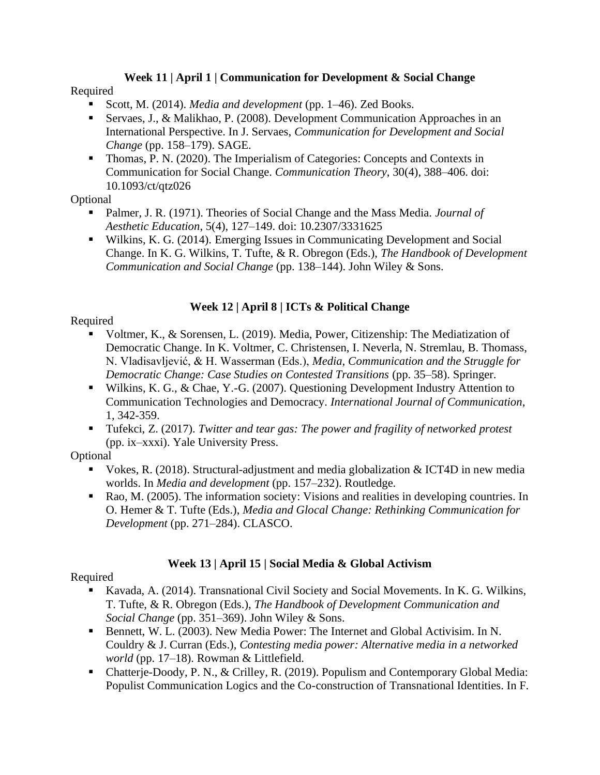# **Week 11 | April 1 | Communication for Development & Social Change**

## Required

- Scott, M. (2014). *Media and development* (pp. 1–46). Zed Books.
- Servaes, J., & Malikhao, P. (2008). Development Communication Approaches in an International Perspective. In J. Servaes, *Communication for Development and Social Change* (pp. 158–179). SAGE.
- Thomas, P. N. (2020). The Imperialism of Categories: Concepts and Contexts in Communication for Social Change. *Communication Theory*, 30(4), 388–406. doi: 10.1093/ct/qtz026

# Optional

- Palmer, J. R. (1971). Theories of Social Change and the Mass Media. *Journal of Aesthetic Education*, 5(4), 127–149. doi: 10.2307/3331625
- Wilkins, K. G. (2014). Emerging Issues in Communicating Development and Social Change. In K. G. Wilkins, T. Tufte, & R. Obregon (Eds.), *The Handbook of Development Communication and Social Change* (pp. 138–144). John Wiley & Sons.

# **Week 12 | April 8 | ICTs & Political Change**

# Required

- Voltmer, K., & Sorensen, L. (2019). Media, Power, Citizenship: The Mediatization of Democratic Change. In K. Voltmer, C. Christensen, I. Neverla, N. Stremlau, B. Thomass, N. Vladisavljević, & H. Wasserman (Eds.), *Media, Communication and the Struggle for Democratic Change: Case Studies on Contested Transitions* (pp. 35–58). Springer.
- Wilkins, K. G., & Chae, Y.-G. (2007). Questioning Development Industry Attention to Communication Technologies and Democracy. *International Journal of Communication*, 1, 342-359.
- Tufekci, Z. (2017). *Twitter and tear gas: The power and fragility of networked protest* (pp. ix–xxxi). Yale University Press.

# **Optional**

- Vokes, R. (2018). Structural-adjustment and media globalization  $&$  ICT4D in new media worlds. In *Media and development* (pp. 157–232). Routledge.
- Rao, M. (2005). The information society: Visions and realities in developing countries. In O. Hemer & T. Tufte (Eds.), *Media and Glocal Change: Rethinking Communication for Development* (pp. 271–284). CLASCO.

# **Week 13 | April 15 | Social Media & Global Activism**

# Required

- Kavada, A. (2014). Transnational Civil Society and Social Movements. In K. G. Wilkins, T. Tufte, & R. Obregon (Eds.), *The Handbook of Development Communication and Social Change* (pp. 351–369). John Wiley & Sons.
- Bennett, W. L. (2003). New Media Power: The Internet and Global Activisim. In N. Couldry & J. Curran (Eds.), *Contesting media power: Alternative media in a networked world* (pp. 17–18). Rowman & Littlefield.
- Chatterje-Doody, P. N., & Crilley, R. (2019). Populism and Contemporary Global Media: Populist Communication Logics and the Co-construction of Transnational Identities. In F.